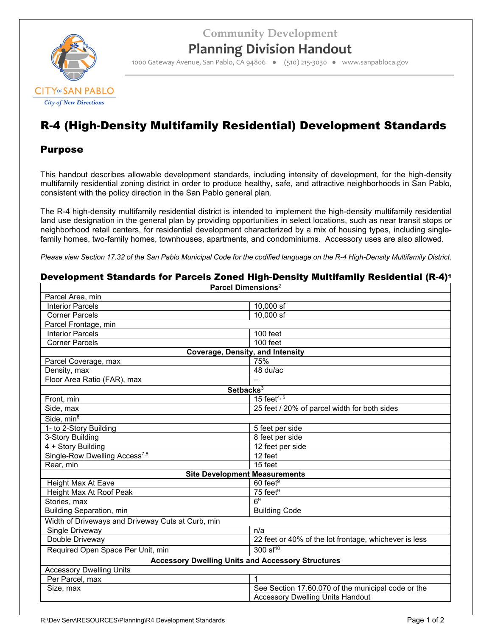**Community Development**



## **Planning Division Handout**

1000 Gateway Avenue, San Pablo, CA 94806 ● (510) 215‐3030 ● www.sanpabloca.gov

# R-4 (High-Density Multifamily Residential) Development Standards

### Purpose

This handout describes allowable development standards, including intensity of development, for the high-density multifamily residential zoning district in order to produce healthy, safe, and attractive neighborhoods in San Pablo, consistent with the policy direction in the San Pablo general plan.

The R-4 high-density multifamily residential district is intended to implement the high-density multifamily residential land use designation in the general plan by providing opportunities in select locations, such as near transit stops or neighborhood retail centers, for residential development characterized by a mix of housing types, including singlefamily homes, two-family homes, townhouses, apartments, and condominiums. Accessory uses are also allowed.

*Please view Section 17.32 of the San Pablo Municipal Code for the codified language on the R-4 High-Density Multifamily District.*

| Development Standards for Parcels Zoned High-Density Multifamily Residential (R-4) <sup>1</sup> |                                                          |  |  |  |
|-------------------------------------------------------------------------------------------------|----------------------------------------------------------|--|--|--|
| <b>Parcel Dimensions<sup>2</sup></b>                                                            |                                                          |  |  |  |
| Parcel Area, min                                                                                |                                                          |  |  |  |
| <b>Interior Parcels</b>                                                                         | 10,000 sf                                                |  |  |  |
| <b>Corner Parcels</b>                                                                           | $10.000$ sf                                              |  |  |  |
| Parcel Frontage, min                                                                            |                                                          |  |  |  |
| <b>Interior Parcels</b>                                                                         | 100 feet                                                 |  |  |  |
| <b>Corner Parcels</b>                                                                           | 100 feet                                                 |  |  |  |
| <b>Coverage, Density, and Intensity</b>                                                         |                                                          |  |  |  |
| Parcel Coverage, max                                                                            | 75%                                                      |  |  |  |
| Density, max                                                                                    | 48 du/ac                                                 |  |  |  |
| Floor Area Ratio (FAR), max                                                                     |                                                          |  |  |  |
| Setbacks <sup>3</sup>                                                                           |                                                          |  |  |  |
| Front, min                                                                                      | 15 feet <sup>4, 5</sup>                                  |  |  |  |
| Side, max                                                                                       | 25 feet / 20% of parcel width for both sides             |  |  |  |
| Side, $min6$                                                                                    |                                                          |  |  |  |
| 1- to 2-Story Building                                                                          | 5 feet per side                                          |  |  |  |
| 3-Story Building                                                                                | 8 feet per side                                          |  |  |  |
| 4 + Story Building                                                                              | 12 feet per side                                         |  |  |  |
| Single-Row Dwelling Access <sup>7,8</sup>                                                       | 12 feet                                                  |  |  |  |
| Rear, min                                                                                       | 15 feet                                                  |  |  |  |
|                                                                                                 | <b>Site Development Measurements</b>                     |  |  |  |
| Height Max At Eave                                                                              | $60$ feet <sup>9</sup>                                   |  |  |  |
| Height Max At Roof Peak                                                                         | $75$ feet <sup>9</sup>                                   |  |  |  |
| Stories, max                                                                                    | 6 <sup>9</sup>                                           |  |  |  |
| <b>Building Separation, min</b>                                                                 | <b>Building Code</b>                                     |  |  |  |
| Width of Driveways and Driveway Cuts at Curb, min                                               |                                                          |  |  |  |
| Single Driveway                                                                                 | n/a                                                      |  |  |  |
| Double Driveway                                                                                 | 22 feet or 40% of the lot frontage, whichever is less    |  |  |  |
| Required Open Space Per Unit, min                                                               | $300 \text{ s}$ f <sup>10</sup>                          |  |  |  |
|                                                                                                 | <b>Accessory Dwelling Units and Accessory Structures</b> |  |  |  |
| <b>Accessory Dwelling Units</b>                                                                 |                                                          |  |  |  |
| Per Parcel, max                                                                                 | 1                                                        |  |  |  |
| Size, max                                                                                       | See Section 17.60.070 of the municipal code or the       |  |  |  |
|                                                                                                 | <b>Accessory Dwelling Units Handout</b>                  |  |  |  |